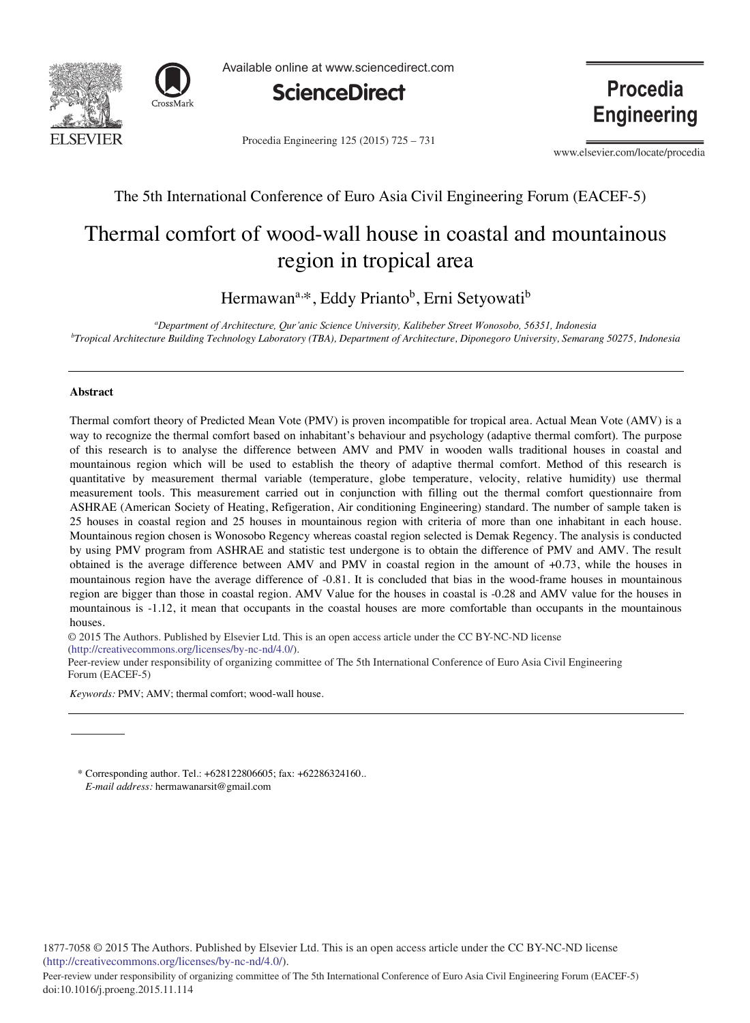



Available online at www.sciencedirect.com



Procedia Engineering 125 (2015) 725 - 731

**Procedia Engineering** 

www.elsevier.com/locate/procedia

### The 5th International Conference of Euro Asia Civil Engineering Forum (EACEF-5)

## Thermal comfort of wood-wall house in coastal and mountainous region in tropical area

Hermawan<sup>a,\*</sup>, Eddy Prianto<sup>b</sup>, Erni Setyowati<sup>b</sup>

*a Department of Architecture, Qur'anic Science University, Kalibeber Street Wonosobo, 56351, Indonesia b Tropical Architecture Building Technology Laboratory (TBA), Department of Architecture, Diponegoro University, Semarang 50275, Indonesia* 

#### **Abstract**

Thermal comfort theory of Predicted Mean Vote (PMV) is proven incompatible for tropical area. Actual Mean Vote (AMV) is a way to recognize the thermal comfort based on inhabitant's behaviour and psychology (adaptive thermal comfort). The purpose of this research is to analyse the difference between AMV and PMV in wooden walls traditional houses in coastal and mountainous region which will be used to establish the theory of adaptive thermal comfort. Method of this research is quantitative by measurement thermal variable (temperature, globe temperature, velocity, relative humidity) use thermal measurement tools. This measurement carried out in conjunction with filling out the thermal comfort questionnaire from ASHRAE (American Society of Heating, Refigeration, Air conditioning Engineering) standard. The number of sample taken is 25 houses in coastal region and 25 houses in mountainous region with criteria of more than one inhabitant in each house. Mountainous region chosen is Wonosobo Regency whereas coastal region selected is Demak Regency. The analysis is conducted by using PMV program from ASHRAE and statistic test undergone is to obtain the difference of PMV and AMV. The result obtained is the average difference between AMV and PMV in coastal region in the amount of +0.73, while the houses in mountainous region have the average difference of -0.81. It is concluded that bias in the wood-frame houses in mountainous region are bigger than those in coastal region. AMV Value for the houses in coastal is -0.28 and AMV value for the houses in mountainous is -1.12, it mean that occupants in the coastal houses are more comfortable than occupants in the mountainous houses.

© 2015 The Authors. Published by Elsevier Ltd. © 2015 The Authors. Published by Elsevier Ltd. This is an open access article under the CC BY-NC-ND license (http://creativecommons.org/licenses/by-nc-nd/4.0/).

Peer-review under responsibility of organizing committee of The 5th International Conference of Euro Asia Civil Engineering Forum (EACEF-5)

*Keywords:* PMV; AMV; thermal comfort; wood-wall house.

\* Corresponding author. Tel.: +628122806605; fax: +62286324160.. *E-mail address:* hermawanarsit@gmail.com

1877-7058 © 2015 The Authors. Published by Elsevier Ltd. This is an open access article under the CC BY-NC-ND license (http://creativecommons.org/licenses/by-nc-nd/4.0/).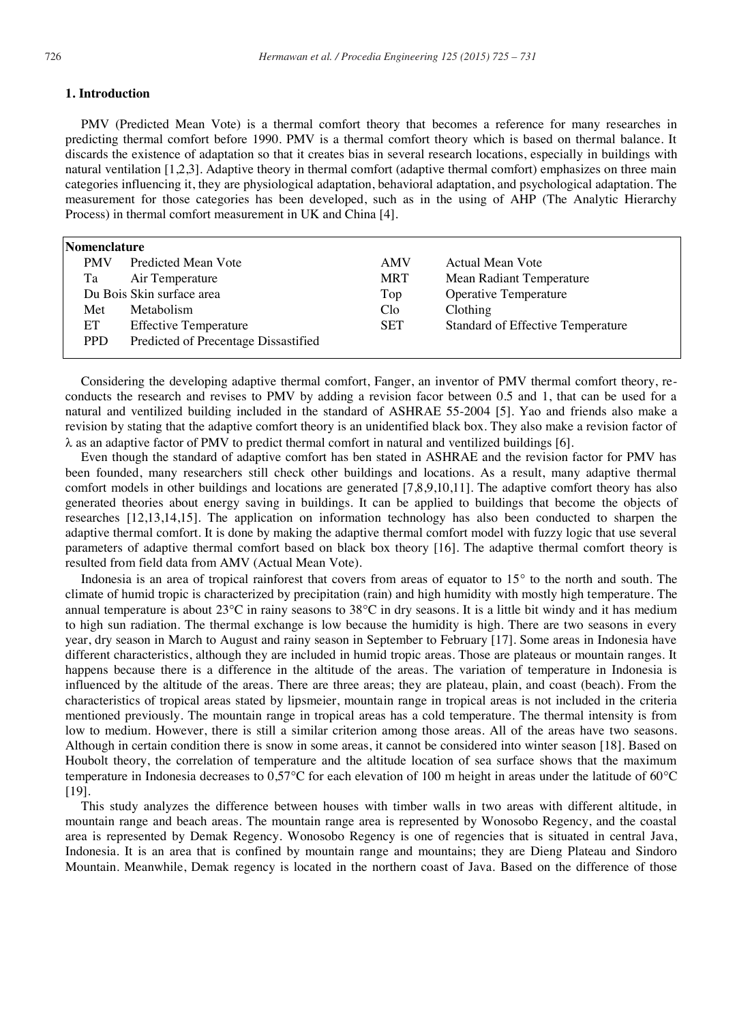#### **1. Introduction**

PMV (Predicted Mean Vote) is a thermal comfort theory that becomes a reference for many researches in predicting thermal comfort before 1990. PMV is a thermal comfort theory which is based on thermal balance. It discards the existence of adaptation so that it creates bias in several research locations, especially in buildings with natural ventilation [1,2,3]. Adaptive theory in thermal comfort (adaptive thermal comfort) emphasizes on three main categories influencing it, they are physiological adaptation, behavioral adaptation, and psychological adaptation. The measurement for those categories has been developed, such as in the using of AHP (The Analytic Hierarchy Process) in thermal comfort measurement in UK and China [4].

| Nomenclature |                                      |                 |                                   |
|--------------|--------------------------------------|-----------------|-----------------------------------|
| <b>PMV</b>   | Predicted Mean Vote                  | AMV             | Actual Mean Vote                  |
| Ta           | Air Temperature                      | <b>MRT</b>      | Mean Radiant Temperature          |
|              | Du Bois Skin surface area            | Top             | Operative Temperature             |
| Met          | Metabolism                           | C <sub>lo</sub> | Clothing                          |
| ET           | <b>Effective Temperature</b>         | SET             | Standard of Effective Temperature |
| <b>PPD</b>   | Predicted of Precentage Dissastified |                 |                                   |
|              |                                      |                 |                                   |

Considering the developing adaptive thermal comfort, Fanger, an inventor of PMV thermal comfort theory, reconducts the research and revises to PMV by adding a revision facor between 0.5 and 1, that can be used for a natural and ventilized building included in the standard of ASHRAE 55-2004 [5]. Yao and friends also make a revision by stating that the adaptive comfort theory is an unidentified black box. They also make a revision factor of  $\lambda$  as an adaptive factor of PMV to predict thermal comfort in natural and ventilized buildings [6].

Even though the standard of adaptive comfort has ben stated in ASHRAE and the revision factor for PMV has been founded, many researchers still check other buildings and locations. As a result, many adaptive thermal comfort models in other buildings and locations are generated [7,8,9,10,11]. The adaptive comfort theory has also generated theories about energy saving in buildings. It can be applied to buildings that become the objects of researches [12,13,14,15]. The application on information technology has also been conducted to sharpen the adaptive thermal comfort. It is done by making the adaptive thermal comfort model with fuzzy logic that use several parameters of adaptive thermal comfort based on black box theory [16]. The adaptive thermal comfort theory is resulted from field data from AMV (Actual Mean Vote).

Indonesia is an area of tropical rainforest that covers from areas of equator to  $15<sup>°</sup>$  to the north and south. The climate of humid tropic is characterized by precipitation (rain) and high humidity with mostly high temperature. The annual temperature is about  $23^{\circ}\text{C}$  in rainy seasons to  $38^{\circ}\text{C}$  in dry seasons. It is a little bit windy and it has medium to high sun radiation. The thermal exchange is low because the humidity is high. There are two seasons in every year, dry season in March to August and rainy season in September to February [17]. Some areas in Indonesia have different characteristics, although they are included in humid tropic areas. Those are plateaus or mountain ranges. It happens because there is a difference in the altitude of the areas. The variation of temperature in Indonesia is influenced by the altitude of the areas. There are three areas; they are plateau, plain, and coast (beach). From the characteristics of tropical areas stated by lipsmeier, mountain range in tropical areas is not included in the criteria mentioned previously. The mountain range in tropical areas has a cold temperature. The thermal intensity is from low to medium. However, there is still a similar criterion among those areas. All of the areas have two seasons. Although in certain condition there is snow in some areas, it cannot be considered into winter season [18]. Based on Houbolt theory, the correlation of temperature and the altitude location of sea surface shows that the maximum temperature in Indonesia decreases to  $0.57^{\circ}$ C for each elevation of 100 m height in areas under the latitude of 60 $^{\circ}$ C [19].

This study analyzes the difference between houses with timber walls in two areas with different altitude, in mountain range and beach areas. The mountain range area is represented by Wonosobo Regency, and the coastal area is represented by Demak Regency. Wonosobo Regency is one of regencies that is situated in central Java, Indonesia. It is an area that is confined by mountain range and mountains; they are Dieng Plateau and Sindoro Mountain. Meanwhile, Demak regency is located in the northern coast of Java. Based on the difference of those